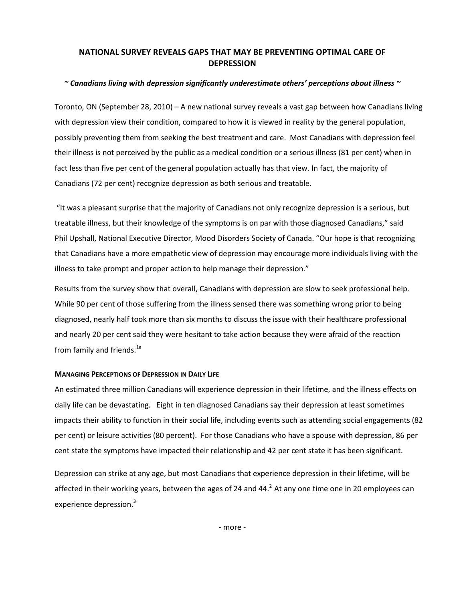## NATIONAL SURVEY REVEALS GAPS THAT MAY BE PREVENTING OPTIMAL CARE OF DEPRESSION

### $\sim$  Canadians living with depression significantly underestimate others' perceptions about illness  $\sim$

Toronto, ON (September 28, 2010) – A new national survey reveals a vast gap between how Canadians living with depression view their condition, compared to how it is viewed in reality by the general population, possibly preventing them from seeking the best treatment and care. Most Canadians with depression feel their illness is not perceived by the public as a medical condition or a serious illness (81 per cent) when in fact less than five per cent of the general population actually has that view. In fact, the majority of Canadians (72 per cent) recognize depression as both serious and treatable.

 "It was a pleasant surprise that the majority of Canadians not only recognize depression is a serious, but treatable illness, but their knowledge of the symptoms is on par with those diagnosed Canadians," said Phil Upshall, National Executive Director, Mood Disorders Society of Canada. "Our hope is that recognizing that Canadians have a more empathetic view of depression may encourage more individuals living with the illness to take prompt and proper action to help manage their depression."

Results from the survey show that overall, Canadians with depression are slow to seek professional help. While 90 per cent of those suffering from the illness sensed there was something wrong prior to being diagnosed, nearly half took more than six months to discuss the issue with their healthcare professional and nearly 20 per cent said they were hesitant to take action because they were afraid of the reaction from family and friends.<sup>1a</sup>

#### MANAGING PERCEPTIONS OF DEPRESSION IN DAILY LIFE

An estimated three million Canadians will experience depression in their lifetime, and the illness effects on daily life can be devastating. Eight in ten diagnosed Canadians say their depression at least sometimes impacts their ability to function in their social life, including events such as attending social engagements (82 per cent) or leisure activities (80 percent). For those Canadians who have a spouse with depression, 86 per cent state the symptoms have impacted their relationship and 42 per cent state it has been significant.

Depression can strike at any age, but most Canadians that experience depression in their lifetime, will be affected in their working years, between the ages of 24 and  $44<sup>2</sup>$  At any one time one in 20 employees can experience depression.<sup>3</sup>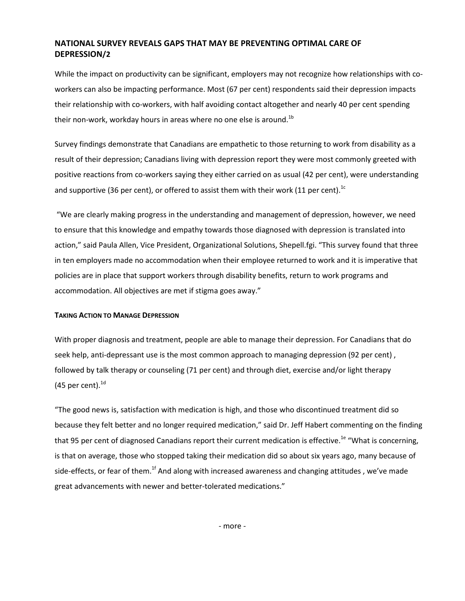# NATIONAL SURVEY REVEALS GAPS THAT MAY BE PREVENTING OPTIMAL CARE OF DEPRESSION/2

While the impact on productivity can be significant, employers may not recognize how relationships with coworkers can also be impacting performance. Most (67 per cent) respondents said their depression impacts their relationship with co-workers, with half avoiding contact altogether and nearly 40 per cent spending their non-work, workday hours in areas where no one else is around.<sup>1b</sup>

Survey findings demonstrate that Canadians are empathetic to those returning to work from disability as a result of their depression; Canadians living with depression report they were most commonly greeted with positive reactions from co-workers saying they either carried on as usual (42 per cent), were understanding and supportive (36 per cent), or offered to assist them with their work (11 per cent).<sup>1c</sup>

 "We are clearly making progress in the understanding and management of depression, however, we need to ensure that this knowledge and empathy towards those diagnosed with depression is translated into action," said Paula Allen, Vice President, Organizational Solutions, Shepell.fgi. "This survey found that three in ten employers made no accommodation when their employee returned to work and it is imperative that policies are in place that support workers through disability benefits, return to work programs and accommodation. All objectives are met if stigma goes away."

## TAKING ACTION TO MANAGE DEPRESSION

With proper diagnosis and treatment, people are able to manage their depression. For Canadians that do seek help, anti-depressant use is the most common approach to managing depression (92 per cent) , followed by talk therapy or counseling (71 per cent) and through diet, exercise and/or light therapy (45 per cent). $^{1d}$ 

"The good news is, satisfaction with medication is high, and those who discontinued treatment did so because they felt better and no longer required medication," said Dr. Jeff Habert commenting on the finding that 95 per cent of diagnosed Canadians report their current medication is effective.<sup>1e</sup> "What is concerning, is that on average, those who stopped taking their medication did so about six years ago, many because of side-effects, or fear of them.<sup>1f</sup> And along with increased awareness and changing attitudes, we've made great advancements with newer and better-tolerated medications."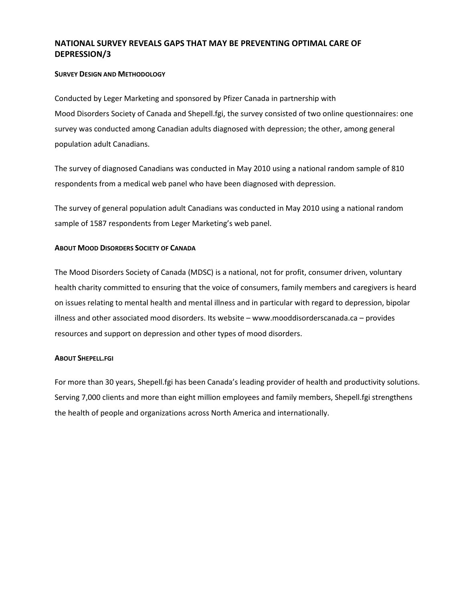# NATIONAL SURVEY REVEALS GAPS THAT MAY BE PREVENTING OPTIMAL CARE OF DEPRESSION/3

### SURVEY DESIGN AND METHODOLOGY

Conducted by Leger Marketing and sponsored by Pfizer Canada in partnership with Mood Disorders Society of Canada and Shepell.fgi, the survey consisted of two online questionnaires: one survey was conducted among Canadian adults diagnosed with depression; the other, among general population adult Canadians.

The survey of diagnosed Canadians was conducted in May 2010 using a national random sample of 810 respondents from a medical web panel who have been diagnosed with depression.

The survey of general population adult Canadians was conducted in May 2010 using a national random sample of 1587 respondents from Leger Marketing's web panel.

### ABOUT MOOD DISORDERS SOCIETY OF CANADA

The Mood Disorders Society of Canada (MDSC) is a national, not for profit, consumer driven, voluntary health charity committed to ensuring that the voice of consumers, family members and caregivers is heard on issues relating to mental health and mental illness and in particular with regard to depression, bipolar illness and other associated mood disorders. Its website – www.mooddisorderscanada.ca – provides resources and support on depression and other types of mood disorders.

#### ABOUT SHEPELL.FGI

For more than 30 years, Shepell.fgi has been Canada's leading provider of health and productivity solutions. Serving 7,000 clients and more than eight million employees and family members, Shepell.fgi strengthens the health of people and organizations across North America and internationally.